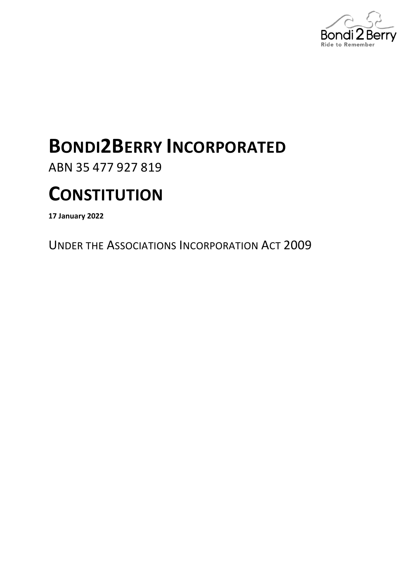

# **BONDI2BERRY INCORPORATED**

ABN 35 477 927 819

# **CONSTITUTION**

**17 January 2022**

UNDER THE ASSOCIATIONS INCORPORATION ACT 2009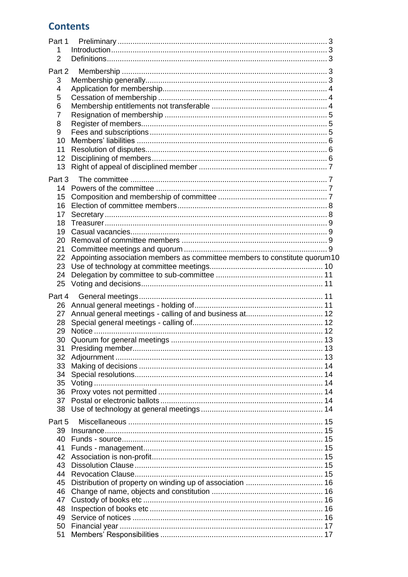## **Contents**

| Part 1   |                                                                            |  |
|----------|----------------------------------------------------------------------------|--|
| 1.       |                                                                            |  |
| 2        |                                                                            |  |
| Part 2   |                                                                            |  |
|          |                                                                            |  |
| 3        |                                                                            |  |
| 4        |                                                                            |  |
| 5        |                                                                            |  |
| 6        |                                                                            |  |
| 7        |                                                                            |  |
| 8        |                                                                            |  |
| 9        |                                                                            |  |
| 10       |                                                                            |  |
| 11       |                                                                            |  |
| 12       |                                                                            |  |
|          |                                                                            |  |
| 13       |                                                                            |  |
| Part 3   |                                                                            |  |
|          |                                                                            |  |
| 15       |                                                                            |  |
| 16       |                                                                            |  |
|          |                                                                            |  |
| 17       |                                                                            |  |
| 18       |                                                                            |  |
| 19       |                                                                            |  |
| 20       |                                                                            |  |
| 21       |                                                                            |  |
| 22       | Appointing association members as committee members to constitute quorum10 |  |
| 23       |                                                                            |  |
| 24       |                                                                            |  |
|          |                                                                            |  |
|          |                                                                            |  |
| 25       |                                                                            |  |
| Part 4   |                                                                            |  |
| 26       |                                                                            |  |
|          |                                                                            |  |
| 27       |                                                                            |  |
| 28       |                                                                            |  |
| 29       |                                                                            |  |
| 30       |                                                                            |  |
| 31       |                                                                            |  |
| 32       |                                                                            |  |
| 33       |                                                                            |  |
| 34       |                                                                            |  |
| 35       |                                                                            |  |
| 36       |                                                                            |  |
| 37       |                                                                            |  |
|          |                                                                            |  |
| 38       |                                                                            |  |
| Part 5   |                                                                            |  |
| 39       |                                                                            |  |
| 40       |                                                                            |  |
| 41       |                                                                            |  |
| 42       |                                                                            |  |
| 43       |                                                                            |  |
|          |                                                                            |  |
| 44       |                                                                            |  |
| 45       |                                                                            |  |
| 46       |                                                                            |  |
| 47       |                                                                            |  |
| 48       |                                                                            |  |
| 49       |                                                                            |  |
| 50<br>51 |                                                                            |  |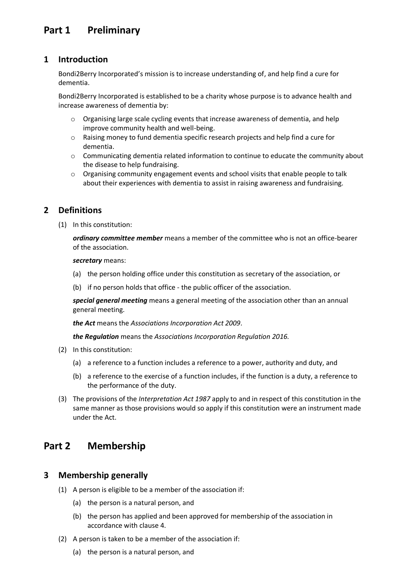## <span id="page-2-0"></span>**Part 1 Preliminary**

#### <span id="page-2-1"></span>**1 Introduction**

Bondi2Berry Incorporated's mission is to increase understanding of, and help find a cure for dementia.

Bondi2Berry Incorporated is established to be a charity whose purpose is to advance health and increase awareness of dementia by:

- o Organising large scale cycling events that increase awareness of dementia, and help improve community health and well-being.
- o Raising money to fund dementia specific research projects and help find a cure for dementia.
- o Communicating dementia related information to continue to educate the community about the disease to help fundraising.
- o Organising community engagement events and school visits that enable people to talk about their experiences with dementia to assist in raising awareness and fundraising.

## <span id="page-2-2"></span>**2 Definitions**

(1) In this constitution:

*ordinary committee member* means a member of the committee who is not an office-bearer of the association.

*secretary* means:

- (a) the person holding office under this constitution as secretary of the association, or
- (b) if no person holds that office the public officer of the association.

*special general meeting* means a general meeting of the association other than an annual general meeting.

*the Act* means the *[Associations Incorporation Act 2009](http://www.legislation.nsw.gov.au/xref/inforce/?xref=Type%3Dact%20AND%20Year%3D2009%20AND%20no%3D7&nohits=y)*.

*the Regulation* means the *[Associations Incorporation Regulation 2016.](http://www.legislation.nsw.gov.au/xref/inforce/?xref=Type%3Dsubordleg%20AND%20Year%3D2010%20AND%20No%3D238&nohits=y)*

- (2) In this constitution:
	- (a) a reference to a function includes a reference to a power, authority and duty, and
	- (b) a reference to the exercise of a function includes, if the function is a duty, a reference to the performance of the duty.
- (3) The provisions of the *[Interpretation Act 1987](http://www.legislation.nsw.gov.au/xref/inforce/?xref=Type%3Dact%20AND%20Year%3D1987%20AND%20no%3D15&nohits=y)* apply to and in respect of this constitution in the same manner as those provisions would so apply if this constitution were an instrument made under the Act.

## <span id="page-2-3"></span>**Part 2 Membership**

#### <span id="page-2-4"></span>**3 Membership generally**

- (1) A person is eligible to be a member of the association if:
	- (a) the person is a natural person, and
	- (b) the person has applied and been approved for membership of the association in accordance with clause 4.
- (2) A person is taken to be a member of the association if:
	- (a) the person is a natural person, and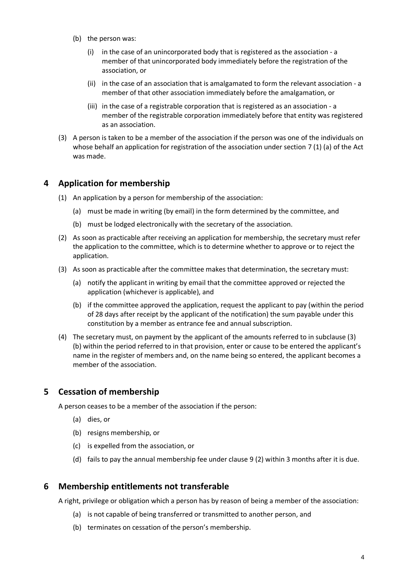- (b) the person was:
	- (i) in the case of an unincorporated body that is registered as the association a member of that unincorporated body immediately before the registration of the association, or
	- (ii) in the case of an association that is amalgamated to form the relevant association a member of that other association immediately before the amalgamation, or
	- (iii) in the case of a registrable corporation that is registered as an association a member of the registrable corporation immediately before that entity was registered as an association.
- (3) A person is taken to be a member of the association if the person was one of the individuals on whose behalf an application for registration of the association under section 7 (1) (a) of the Act was made.

#### <span id="page-3-0"></span>**4 Application for membership**

- (1) An application by a person for membership of the association:
	- (a) must be made in writing (by email) in the form determined by the committee, and
	- (b) must be lodged electronically with the secretary of the association.
- (2) As soon as practicable after receiving an application for membership, the secretary must refer the application to the committee, which is to determine whether to approve or to reject the application.
- (3) As soon as practicable after the committee makes that determination, the secretary must:
	- (a) notify the applicant in writing by email that the committee approved or rejected the application (whichever is applicable), and
	- (b) if the committee approved the application, request the applicant to pay (within the period of 28 days after receipt by the applicant of the notification) the sum payable under this constitution by a member as entrance fee and annual subscription.
- (4) The secretary must, on payment by the applicant of the amounts referred to in subclause (3) (b) within the period referred to in that provision, enter or cause to be entered the applicant's name in the register of members and, on the name being so entered, the applicant becomes a member of the association.

#### <span id="page-3-1"></span>**5 Cessation of membership**

A person ceases to be a member of the association if the person:

- (a) dies, or
- (b) resigns membership, or
- (c) is expelled from the association, or
- (d) fails to pay the annual membership fee under clause 9 (2) within 3 months after it is due.

#### <span id="page-3-2"></span>**6 Membership entitlements not transferable**

A right, privilege or obligation which a person has by reason of being a member of the association:

- (a) is not capable of being transferred or transmitted to another person, and
- (b) terminates on cessation of the person's membership.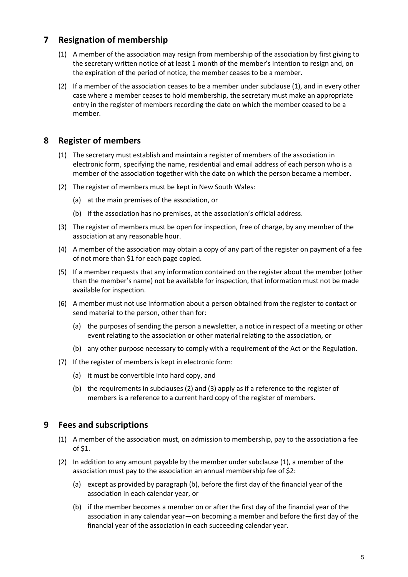## <span id="page-4-0"></span>**7 Resignation of membership**

- (1) A member of the association may resign from membership of the association by first giving to the secretary written notice of at least 1 month of the member's intention to resign and, on the expiration of the period of notice, the member ceases to be a member.
- (2) If a member of the association ceases to be a member under subclause (1), and in every other case where a member ceases to hold membership, the secretary must make an appropriate entry in the register of members recording the date on which the member ceased to be a member.

## <span id="page-4-1"></span>**8 Register of members**

- (1) The secretary must establish and maintain a register of members of the association in electronic form, specifying the name, residential and email address of each person who is a member of the association together with the date on which the person became a member.
- (2) The register of members must be kept in New South Wales:
	- (a) at the main premises of the association, or
	- (b) if the association has no premises, at the association's official address.
- (3) The register of members must be open for inspection, free of charge, by any member of the association at any reasonable hour.
- (4) A member of the association may obtain a copy of any part of the register on payment of a fee of not more than \$1 for each page copied.
- (5) If a member requests that any information contained on the register about the member (other than the member's name) not be available for inspection, that information must not be made available for inspection.
- (6) A member must not use information about a person obtained from the register to contact or send material to the person, other than for:
	- (a) the purposes of sending the person a newsletter, a notice in respect of a meeting or other event relating to the association or other material relating to the association, or
	- (b) any other purpose necessary to comply with a requirement of the Act or the Regulation.
- (7) If the register of members is kept in electronic form:
	- (a) it must be convertible into hard copy, and
	- (b) the requirements in subclauses (2) and (3) apply as if a reference to the register of members is a reference to a current hard copy of the register of members.

## <span id="page-4-2"></span>**9 Fees and subscriptions**

- (1) A member of the association must, on admission to membership, pay to the association a fee of \$1.
- (2) In addition to any amount payable by the member under subclause (1), a member of the association must pay to the association an annual membership fee of \$2:
	- (a) except as provided by paragraph (b), before the first day of the financial year of the association in each calendar year, or
	- (b) if the member becomes a member on or after the first day of the financial year of the association in any calendar year—on becoming a member and before the first day of the financial year of the association in each succeeding calendar year.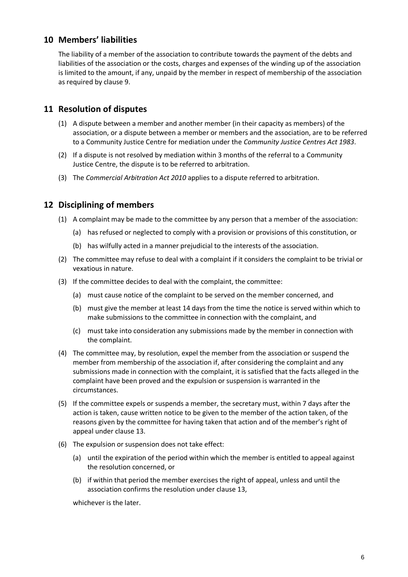## <span id="page-5-0"></span>**10 Members' liabilities**

The liability of a member of the association to contribute towards the payment of the debts and liabilities of the association or the costs, charges and expenses of the winding up of the association is limited to the amount, if any, unpaid by the member in respect of membership of the association as required by clause 9.

## <span id="page-5-1"></span>**11 Resolution of disputes**

- (1) A dispute between a member and another member (in their capacity as members) of the association, or a dispute between a member or members and the association, are to be referred to a Community Justice Centre for mediation under the *Community Justice Centres Act 1983*.
- (2) If a dispute is not resolved by mediation within 3 months of the referral to a Community Justice Centre, the dispute is to be referred to arbitration.
- (3) The *Commercial Arbitration Act 2010* applies to a dispute referred to arbitration.

## <span id="page-5-2"></span>**12 Disciplining of members**

- (1) A complaint may be made to the committee by any person that a member of the association:
	- (a) has refused or neglected to comply with a provision or provisions of this constitution, or
	- (b) has wilfully acted in a manner prejudicial to the interests of the association.
- (2) The committee may refuse to deal with a complaint if it considers the complaint to be trivial or vexatious in nature.
- (3) If the committee decides to deal with the complaint, the committee:
	- (a) must cause notice of the complaint to be served on the member concerned, and
	- (b) must give the member at least 14 days from the time the notice is served within which to make submissions to the committee in connection with the complaint, and
	- (c) must take into consideration any submissions made by the member in connection with the complaint.
- (4) The committee may, by resolution, expel the member from the association or suspend the member from membership of the association if, after considering the complaint and any submissions made in connection with the complaint, it is satisfied that the facts alleged in the complaint have been proved and the expulsion or suspension is warranted in the circumstances.
- (5) If the committee expels or suspends a member, the secretary must, within 7 days after the action is taken, cause written notice to be given to the member of the action taken, of the reasons given by the committee for having taken that action and of the member's right of appeal under clause 13.
- (6) The expulsion or suspension does not take effect:
	- (a) until the expiration of the period within which the member is entitled to appeal against the resolution concerned, or
	- (b) if within that period the member exercises the right of appeal, unless and until the association confirms the resolution under clause 13,

whichever is the later.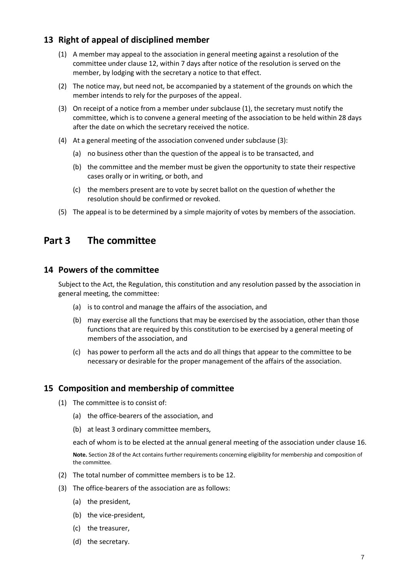## <span id="page-6-0"></span>**13 Right of appeal of disciplined member**

- (1) A member may appeal to the association in general meeting against a resolution of the committee under clause 12, within 7 days after notice of the resolution is served on the member, by lodging with the secretary a notice to that effect.
- (2) The notice may, but need not, be accompanied by a statement of the grounds on which the member intends to rely for the purposes of the appeal.
- (3) On receipt of a notice from a member under subclause (1), the secretary must notify the committee, which is to convene a general meeting of the association to be held within 28 days after the date on which the secretary received the notice.
- (4) At a general meeting of the association convened under subclause (3):
	- (a) no business other than the question of the appeal is to be transacted, and
	- (b) the committee and the member must be given the opportunity to state their respective cases orally or in writing, or both, and
	- (c) the members present are to vote by secret ballot on the question of whether the resolution should be confirmed or revoked.
- (5) The appeal is to be determined by a simple majority of votes by members of the association.

## <span id="page-6-1"></span>**Part 3 The committee**

#### <span id="page-6-2"></span>**14 Powers of the committee**

Subject to the Act, the Regulation, this constitution and any resolution passed by the association in general meeting, the committee:

- (a) is to control and manage the affairs of the association, and
- (b) may exercise all the functions that may be exercised by the association, other than those functions that are required by this constitution to be exercised by a general meeting of members of the association, and
- (c) has power to perform all the acts and do all things that appear to the committee to be necessary or desirable for the proper management of the affairs of the association.

#### <span id="page-6-3"></span>**15 Composition and membership of committee**

- (1) The committee is to consist of:
	- (a) the office-bearers of the association, and
	- (b) at least 3 ordinary committee members,

each of whom is to be elected at the annual general meeting of the association under clause 16.

**Note.** Section 28 of the Act contains further requirements concerning eligibility for membership and composition of the committee.

- (2) The total number of committee members is to be 12.
- (3) The office-bearers of the association are as follows:
	- (a) the president,
	- (b) the vice-president,
	- (c) the treasurer,
	- (d) the secretary.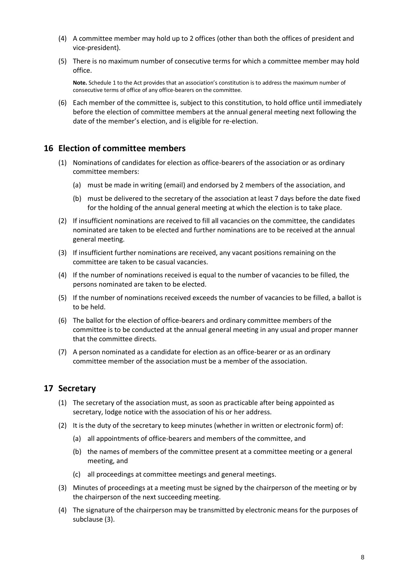- (4) A committee member may hold up to 2 offices (other than both the offices of president and vice-president).
- (5) There is no maximum number of consecutive terms for which a committee member may hold office.

**Note.** Schedule 1 to the Act provides that an association's constitution is to address the maximum number of consecutive terms of office of any office-bearers on the committee.

(6) Each member of the committee is, subject to this constitution, to hold office until immediately before the election of committee members at the annual general meeting next following the date of the member's election, and is eligible for re-election.

#### <span id="page-7-0"></span>**16 Election of committee members**

- (1) Nominations of candidates for election as office-bearers of the association or as ordinary committee members:
	- (a) must be made in writing (email) and endorsed by 2 members of the association, and
	- (b) must be delivered to the secretary of the association at least 7 days before the date fixed for the holding of the annual general meeting at which the election is to take place.
- (2) If insufficient nominations are received to fill all vacancies on the committee, the candidates nominated are taken to be elected and further nominations are to be received at the annual general meeting.
- (3) If insufficient further nominations are received, any vacant positions remaining on the committee are taken to be casual vacancies.
- (4) If the number of nominations received is equal to the number of vacancies to be filled, the persons nominated are taken to be elected.
- (5) If the number of nominations received exceeds the number of vacancies to be filled, a ballot is to be held.
- (6) The ballot for the election of office-bearers and ordinary committee members of the committee is to be conducted at the annual general meeting in any usual and proper manner that the committee directs.
- (7) A person nominated as a candidate for election as an office-bearer or as an ordinary committee member of the association must be a member of the association.

## <span id="page-7-1"></span>**17 Secretary**

- (1) The secretary of the association must, as soon as practicable after being appointed as secretary, lodge notice with the association of his or her address.
- (2) It is the duty of the secretary to keep minutes (whether in written or electronic form) of:
	- (a) all appointments of office-bearers and members of the committee, and
	- (b) the names of members of the committee present at a committee meeting or a general meeting, and
	- (c) all proceedings at committee meetings and general meetings.
- (3) Minutes of proceedings at a meeting must be signed by the chairperson of the meeting or by the chairperson of the next succeeding meeting.
- (4) The signature of the chairperson may be transmitted by electronic means for the purposes of subclause (3).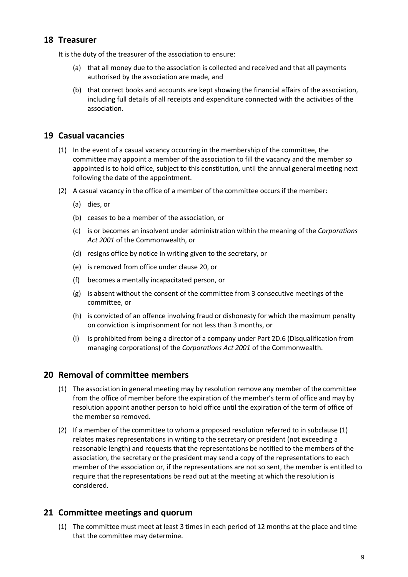## <span id="page-8-0"></span>**18 Treasurer**

It is the duty of the treasurer of the association to ensure:

- (a) that all money due to the association is collected and received and that all payments authorised by the association are made, and
- (b) that correct books and accounts are kept showing the financial affairs of the association, including full details of all receipts and expenditure connected with the activities of the association.

## <span id="page-8-1"></span>**19 Casual vacancies**

- (1) In the event of a casual vacancy occurring in the membership of the committee, the committee may appoint a member of the association to fill the vacancy and the member so appointed is to hold office, subject to this constitution, until the annual general meeting next following the date of the appointment.
- (2) A casual vacancy in the office of a member of the committee occurs if the member:
	- (a) dies, or
	- (b) ceases to be a member of the association, or
	- (c) is or becomes an insolvent under administration within the meaning of the *[Corporations](http://www.comlaw.gov.au/)  [Act 2001](http://www.comlaw.gov.au/)* of the Commonwealth, or
	- (d) resigns office by notice in writing given to the secretary, or
	- (e) is removed from office under clause 20, or
	- (f) becomes a mentally incapacitated person, or
	- (g) is absent without the consent of the committee from 3 consecutive meetings of the committee, or
	- (h) is convicted of an offence involving fraud or dishonesty for which the maximum penalty on conviction is imprisonment for not less than 3 months, or
	- (i) is prohibited from being a director of a company under Part 2D.6 (Disqualification from managing corporations) of the *[Corporations Act 2001](http://www.comlaw.gov.au/)* of the Commonwealth.

## <span id="page-8-2"></span>**20 Removal of committee members**

- (1) The association in general meeting may by resolution remove any member of the committee from the office of member before the expiration of the member's term of office and may by resolution appoint another person to hold office until the expiration of the term of office of the member so removed.
- (2) If a member of the committee to whom a proposed resolution referred to in subclause (1) relates makes representations in writing to the secretary or president (not exceeding a reasonable length) and requests that the representations be notified to the members of the association, the secretary or the president may send a copy of the representations to each member of the association or, if the representations are not so sent, the member is entitled to require that the representations be read out at the meeting at which the resolution is considered.

## <span id="page-8-3"></span>**21 Committee meetings and quorum**

(1) The committee must meet at least 3 times in each period of 12 months at the place and time that the committee may determine.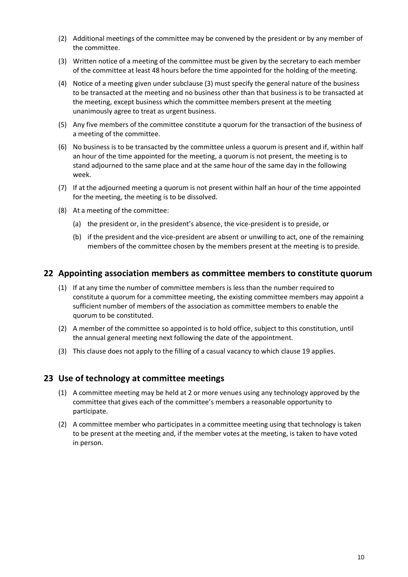- (2) Additional meetings of the committee may be convened by the president or by any member of the committee.
- (3) Written notice of a meeting of the committee must be given by the secretary to each member of the committee at least 48 hours before the time appointed for the holding of the meeting.
- (4) Notice of a meeting given under subclause (3) must specify the general nature of the business to be transacted at the meeting and no business other than that business is to be transacted at the meeting, except business which the committee members present at the meeting unanimously agree to treat as urgent business.
- (5) Any five members of the committee constitute a quorum for the transaction of the business of a meeting of the committee.
- (6) No business is to be transacted by the committee unless a quorum is present and if, within half an hour of the time appointed for the meeting, a quorum is not present, the meeting is to stand adjourned to the same place and at the same hour of the same day in the following week.
- (7) If at the adjourned meeting a quorum is not present within half an hour of the time appointed for the meeting, the meeting is to be dissolved.
- (8) At a meeting of the committee:
	- (a) the president or, in the president's absence, the vice-president is to preside, or
	- (b) if the president and the vice-president are absent or unwilling to act, one of the remaining members of the committee chosen by the members present at the meeting is to preside.

#### <span id="page-9-0"></span>**22 Appointing association members as committee members to constitute quorum**

- (1) If at any time the number of committee members is less than the number required to constitute a quorum for a committee meeting, the existing committee members may appoint a sufficient number of members of the association as committee members to enable the quorum to be constituted.
- (2) A member of the committee so appointed is to hold office, subject to this constitution, until the annual general meeting next following the date of the appointment.
- (3) This clause does not apply to the filling of a casual vacancy to which clause 19 applies.

#### <span id="page-9-1"></span>**23 Use of technology at committee meetings**

- (1) A committee meeting may be held at 2 or more venues using any technology approved by the committee that gives each of the committee's members a reasonable opportunity to participate.
- (2) A committee member who participates in a committee meeting using that technology is taken to be present at the meeting and, if the member votes at the meeting, is taken to have voted in person.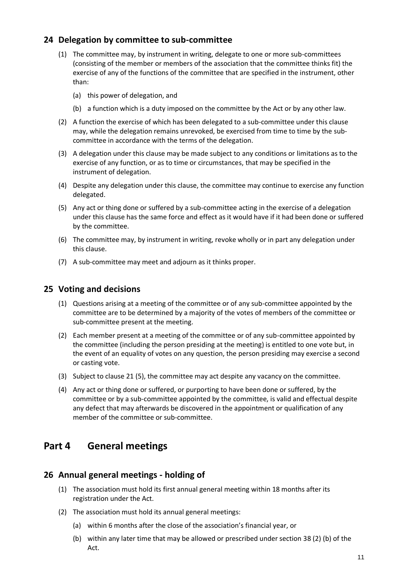## <span id="page-10-0"></span>**24 Delegation by committee to sub-committee**

- (1) The committee may, by instrument in writing, delegate to one or more sub-committees (consisting of the member or members of the association that the committee thinks fit) the exercise of any of the functions of the committee that are specified in the instrument, other than:
	- (a) this power of delegation, and
	- (b) a function which is a duty imposed on the committee by the Act or by any other law.
- (2) A function the exercise of which has been delegated to a sub-committee under this clause may, while the delegation remains unrevoked, be exercised from time to time by the subcommittee in accordance with the terms of the delegation.
- (3) A delegation under this clause may be made subject to any conditions or limitations as to the exercise of any function, or as to time or circumstances, that may be specified in the instrument of delegation.
- (4) Despite any delegation under this clause, the committee may continue to exercise any function delegated.
- (5) Any act or thing done or suffered by a sub-committee acting in the exercise of a delegation under this clause has the same force and effect as it would have if it had been done or suffered by the committee.
- (6) The committee may, by instrument in writing, revoke wholly or in part any delegation under this clause.
- (7) A sub-committee may meet and adjourn as it thinks proper.

#### <span id="page-10-1"></span>**25 Voting and decisions**

- (1) Questions arising at a meeting of the committee or of any sub-committee appointed by the committee are to be determined by a majority of the votes of members of the committee or sub-committee present at the meeting.
- (2) Each member present at a meeting of the committee or of any sub-committee appointed by the committee (including the person presiding at the meeting) is entitled to one vote but, in the event of an equality of votes on any question, the person presiding may exercise a second or casting vote.
- (3) Subject to clause 21 (5), the committee may act despite any vacancy on the committee.
- (4) Any act or thing done or suffered, or purporting to have been done or suffered, by the committee or by a sub-committee appointed by the committee, is valid and effectual despite any defect that may afterwards be discovered in the appointment or qualification of any member of the committee or sub-committee.

## <span id="page-10-2"></span>**Part 4 General meetings**

#### <span id="page-10-3"></span>**26 Annual general meetings - holding of**

- (1) The association must hold its first annual general meeting within 18 months after its registration under the Act.
- (2) The association must hold its annual general meetings:
	- (a) within 6 months after the close of the association's financial year, or
	- (b) within any later time that may be allowed or prescribed under section 38 (2) (b) of the Act.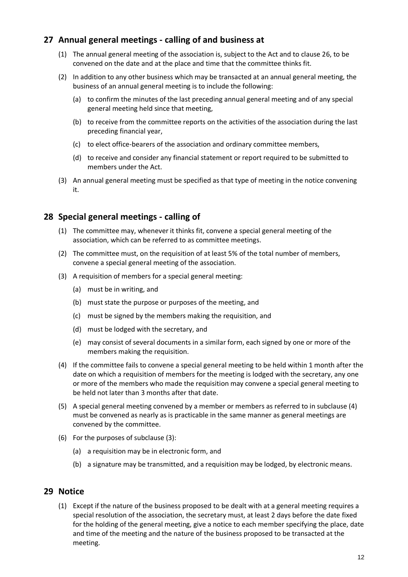## <span id="page-11-0"></span>**27 Annual general meetings - calling of and business at**

- (1) The annual general meeting of the association is, subject to the Act and to clause 26, to be convened on the date and at the place and time that the committee thinks fit.
- (2) In addition to any other business which may be transacted at an annual general meeting, the business of an annual general meeting is to include the following:
	- (a) to confirm the minutes of the last preceding annual general meeting and of any special general meeting held since that meeting,
	- (b) to receive from the committee reports on the activities of the association during the last preceding financial year,
	- (c) to elect office-bearers of the association and ordinary committee members,
	- (d) to receive and consider any financial statement or report required to be submitted to members under the Act.
- (3) An annual general meeting must be specified as that type of meeting in the notice convening it.

## <span id="page-11-1"></span>**28 Special general meetings - calling of**

- (1) The committee may, whenever it thinks fit, convene a special general meeting of the association, which can be referred to as committee meetings.
- (2) The committee must, on the requisition of at least 5% of the total number of members, convene a special general meeting of the association.
- (3) A requisition of members for a special general meeting:
	- (a) must be in writing, and
	- (b) must state the purpose or purposes of the meeting, and
	- (c) must be signed by the members making the requisition, and
	- (d) must be lodged with the secretary, and
	- (e) may consist of several documents in a similar form, each signed by one or more of the members making the requisition.
- (4) If the committee fails to convene a special general meeting to be held within 1 month after the date on which a requisition of members for the meeting is lodged with the secretary, any one or more of the members who made the requisition may convene a special general meeting to be held not later than 3 months after that date.
- (5) A special general meeting convened by a member or members as referred to in subclause (4) must be convened as nearly as is practicable in the same manner as general meetings are convened by the committee.
- (6) For the purposes of subclause (3):
	- (a) a requisition may be in electronic form, and
	- (b) a signature may be transmitted, and a requisition may be lodged, by electronic means.

## <span id="page-11-2"></span>**29 Notice**

(1) Except if the nature of the business proposed to be dealt with at a general meeting requires a special resolution of the association, the secretary must, at least 2 days before the date fixed for the holding of the general meeting, give a notice to each member specifying the place, date and time of the meeting and the nature of the business proposed to be transacted at the meeting.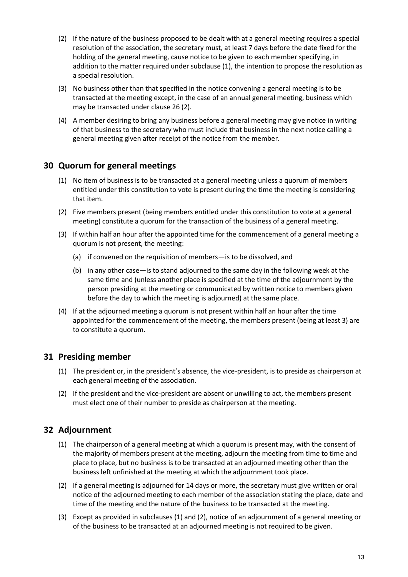- (2) If the nature of the business proposed to be dealt with at a general meeting requires a special resolution of the association, the secretary must, at least 7 days before the date fixed for the holding of the general meeting, cause notice to be given to each member specifying, in addition to the matter required under subclause (1), the intention to propose the resolution as a special resolution.
- (3) No business other than that specified in the notice convening a general meeting is to be transacted at the meeting except, in the case of an annual general meeting, business which may be transacted under clause 26 (2).
- (4) A member desiring to bring any business before a general meeting may give notice in writing of that business to the secretary who must include that business in the next notice calling a general meeting given after receipt of the notice from the member.

## <span id="page-12-0"></span>**30 Quorum for general meetings**

- (1) No item of business is to be transacted at a general meeting unless a quorum of members entitled under this constitution to vote is present during the time the meeting is considering that item.
- (2) Five members present (being members entitled under this constitution to vote at a general meeting) constitute a quorum for the transaction of the business of a general meeting.
- (3) If within half an hour after the appointed time for the commencement of a general meeting a quorum is not present, the meeting:
	- (a) if convened on the requisition of members—is to be dissolved, and
	- (b) in any other case—is to stand adjourned to the same day in the following week at the same time and (unless another place is specified at the time of the adjournment by the person presiding at the meeting or communicated by written notice to members given before the day to which the meeting is adjourned) at the same place.
- (4) If at the adjourned meeting a quorum is not present within half an hour after the time appointed for the commencement of the meeting, the members present (being at least 3) are to constitute a quorum.

## <span id="page-12-1"></span>**31 Presiding member**

- (1) The president or, in the president's absence, the vice-president, is to preside as chairperson at each general meeting of the association.
- (2) If the president and the vice-president are absent or unwilling to act, the members present must elect one of their number to preside as chairperson at the meeting.

## <span id="page-12-2"></span>**32 Adjournment**

- (1) The chairperson of a general meeting at which a quorum is present may, with the consent of the majority of members present at the meeting, adjourn the meeting from time to time and place to place, but no business is to be transacted at an adjourned meeting other than the business left unfinished at the meeting at which the adjournment took place.
- (2) If a general meeting is adjourned for 14 days or more, the secretary must give written or oral notice of the adjourned meeting to each member of the association stating the place, date and time of the meeting and the nature of the business to be transacted at the meeting.
- (3) Except as provided in subclauses (1) and (2), notice of an adjournment of a general meeting or of the business to be transacted at an adjourned meeting is not required to be given.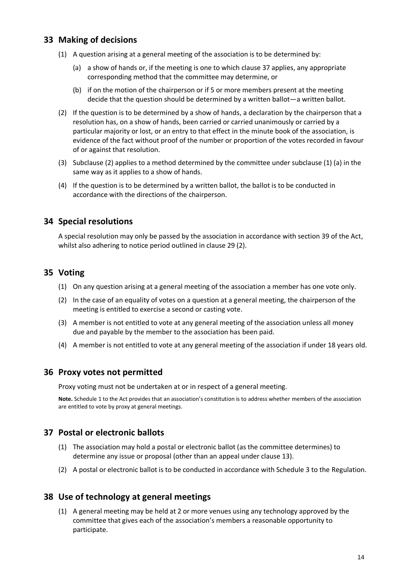## <span id="page-13-0"></span>**33 Making of decisions**

- (1) A question arising at a general meeting of the association is to be determined by:
	- (a) a show of hands or, if the meeting is one to which clause 37 applies, any appropriate corresponding method that the committee may determine, or
	- (b) if on the motion of the chairperson or if 5 or more members present at the meeting decide that the question should be determined by a written ballot—a written ballot.
- (2) If the question is to be determined by a show of hands, a declaration by the chairperson that a resolution has, on a show of hands, been carried or carried unanimously or carried by a particular majority or lost, or an entry to that effect in the minute book of the association, is evidence of the fact without proof of the number or proportion of the votes recorded in favour of or against that resolution.
- (3) Subclause (2) applies to a method determined by the committee under subclause (1) (a) in the same way as it applies to a show of hands.
- (4) If the question is to be determined by a written ballot, the ballot is to be conducted in accordance with the directions of the chairperson.

## <span id="page-13-1"></span>**34 Special resolutions**

A special resolution may only be passed by the association in accordance with section 39 of the Act, whilst also adhering to notice period outlined in clause 29 (2).

## <span id="page-13-2"></span>**35 Voting**

- (1) On any question arising at a general meeting of the association a member has one vote only.
- (2) In the case of an equality of votes on a question at a general meeting, the chairperson of the meeting is entitled to exercise a second or casting vote.
- (3) A member is not entitled to vote at any general meeting of the association unless all money due and payable by the member to the association has been paid.
- (4) A member is not entitled to vote at any general meeting of the association if under 18 years old.

## <span id="page-13-3"></span>**36 Proxy votes not permitted**

Proxy voting must not be undertaken at or in respect of a general meeting.

**Note.** Schedule 1 to the Act provides that an association's constitution is to address whether members of the association are entitled to vote by proxy at general meetings.

## <span id="page-13-4"></span>**37 Postal or electronic ballots**

- (1) The association may hold a postal or electronic ballot (as the committee determines) to determine any issue or proposal (other than an appeal under clause 13).
- (2) A postal or electronic ballot is to be conducted in accordance with Schedule 3 to the Regulation.

## <span id="page-13-5"></span>**38 Use of technology at general meetings**

(1) A general meeting may be held at 2 or more venues using any technology approved by the committee that gives each of the association's members a reasonable opportunity to participate.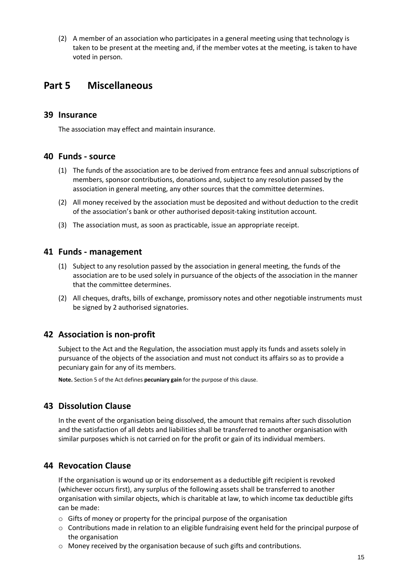(2) A member of an association who participates in a general meeting using that technology is taken to be present at the meeting and, if the member votes at the meeting, is taken to have voted in person.

## <span id="page-14-0"></span>**Part 5 Miscellaneous**

#### <span id="page-14-1"></span>**39 Insurance**

The association may effect and maintain insurance.

#### <span id="page-14-2"></span>**40 Funds - source**

- (1) The funds of the association are to be derived from entrance fees and annual subscriptions of members, sponsor contributions, donations and, subject to any resolution passed by the association in general meeting, any other sources that the committee determines.
- (2) All money received by the association must be deposited and without deduction to the credit of the association's bank or other authorised deposit-taking institution account.
- (3) The association must, as soon as practicable, issue an appropriate receipt.

#### <span id="page-14-3"></span>**41 Funds - management**

- (1) Subject to any resolution passed by the association in general meeting, the funds of the association are to be used solely in pursuance of the objects of the association in the manner that the committee determines.
- (2) All cheques, drafts, bills of exchange, promissory notes and other negotiable instruments must be signed by 2 authorised signatories.

## <span id="page-14-4"></span>**42 Association is non-profit**

Subject to the Act and the Regulation, the association must apply its funds and assets solely in pursuance of the objects of the association and must not conduct its affairs so as to provide a pecuniary gain for any of its members.

**Note.** Section 5 of the Act defines **pecuniary gain** for the purpose of this clause.

## <span id="page-14-5"></span>**43 Dissolution Clause**

In the event of the organisation being dissolved, the amount that remains after such dissolution and the satisfaction of all debts and liabilities shall be transferred to another organisation with similar purposes which is not carried on for the profit or gain of its individual members.

## <span id="page-14-6"></span>**44 Revocation Clause**

If the organisation is wound up or its endorsement as a deductible gift recipient is revoked (whichever occurs first), any surplus of the following assets shall be transferred to another organisation with similar objects, which is charitable at law, to which income tax deductible gifts can be made:

- o Gifts of money or property for the principal purpose of the organisation
- o Contributions made in relation to an eligible fundraising event held for the principal purpose of the organisation
- o Money received by the organisation because of such gifts and contributions.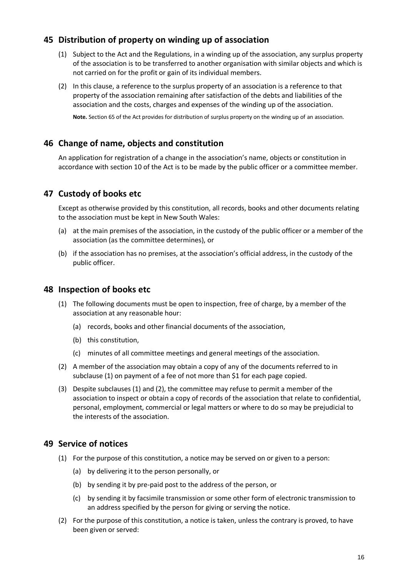## <span id="page-15-0"></span>**45 Distribution of property on winding up of association**

- (1) Subject to the Act and the Regulations, in a winding up of the association, any surplus property of the association is to be transferred to another organisation with similar objects and which is not carried on for the profit or gain of its individual members.
- (2) In this clause, a reference to the surplus property of an association is a reference to that property of the association remaining after satisfaction of the debts and liabilities of the association and the costs, charges and expenses of the winding up of the association.

**Note.** Section 65 of the Act provides for distribution of surplus property on the winding up of an association.

## <span id="page-15-1"></span>**46 Change of name, objects and constitution**

An application for registration of a change in the association's name, objects or constitution in accordance with section 10 of the Act is to be made by the public officer or a committee member.

## <span id="page-15-2"></span>**47 Custody of books etc**

Except as otherwise provided by this constitution, all records, books and other documents relating to the association must be kept in New South Wales:

- (a) at the main premises of the association, in the custody of the public officer or a member of the association (as the committee determines), or
- (b) if the association has no premises, at the association's official address, in the custody of the public officer.

#### <span id="page-15-3"></span>**48 Inspection of books etc**

- (1) The following documents must be open to inspection, free of charge, by a member of the association at any reasonable hour:
	- (a) records, books and other financial documents of the association,
	- (b) this constitution,
	- (c) minutes of all committee meetings and general meetings of the association.
- (2) A member of the association may obtain a copy of any of the documents referred to in subclause (1) on payment of a fee of not more than \$1 for each page copied.
- (3) Despite subclauses (1) and (2), the committee may refuse to permit a member of the association to inspect or obtain a copy of records of the association that relate to confidential, personal, employment, commercial or legal matters or where to do so may be prejudicial to the interests of the association.

## <span id="page-15-4"></span>**49 Service of notices**

- (1) For the purpose of this constitution, a notice may be served on or given to a person:
	- (a) by delivering it to the person personally, or
	- (b) by sending it by pre-paid post to the address of the person, or
	- (c) by sending it by facsimile transmission or some other form of electronic transmission to an address specified by the person for giving or serving the notice.
- (2) For the purpose of this constitution, a notice is taken, unless the contrary is proved, to have been given or served: